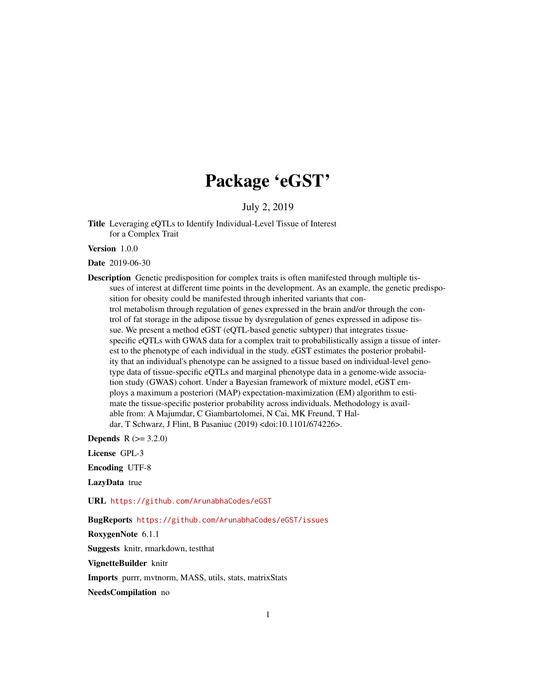## Package 'eGST'

July 2, 2019

Title Leveraging eQTLs to Identify Individual-Level Tissue of Interest for a Complex Trait

Version 1.0.0

Date 2019-06-30

Description Genetic predisposition for complex traits is often manifested through multiple tissues of interest at different time points in the development. As an example, the genetic predisposition for obesity could be manifested through inherited variants that control metabolism through regulation of genes expressed in the brain and/or through the control of fat storage in the adipose tissue by dysregulation of genes expressed in adipose tissue. We present a method eGST (eQTL-based genetic subtyper) that integrates tissuespecific eQTLs with GWAS data for a complex trait to probabilistically assign a tissue of interest to the phenotype of each individual in the study. eGST estimates the posterior probability that an individual's phenotype can be assigned to a tissue based on individual-level genotype data of tissue-specific eQTLs and marginal phenotype data in a genome-wide association study (GWAS) cohort. Under a Bayesian framework of mixture model, eGST employs a maximum a posteriori (MAP) expectation-maximization (EM) algorithm to estimate the tissue-specific posterior probability across individuals. Methodology is available from: A Majumdar, C Giambartolomei, N Cai, MK Freund, T Haldar, T Schwarz, J Flint, B Pasaniuc (2019) <doi:10.1101/674226>.

**Depends**  $R (= 3.2.0)$ 

License GPL-3

Encoding UTF-8

LazyData true

URL <https://github.com/ArunabhaCodes/eGST>

BugReports <https://github.com/ArunabhaCodes/eGST/issues>

RoxygenNote 6.1.1

Suggests knitr, rmarkdown, testthat

VignetteBuilder knitr

Imports purrr, mvtnorm, MASS, utils, stats, matrixStats

NeedsCompilation no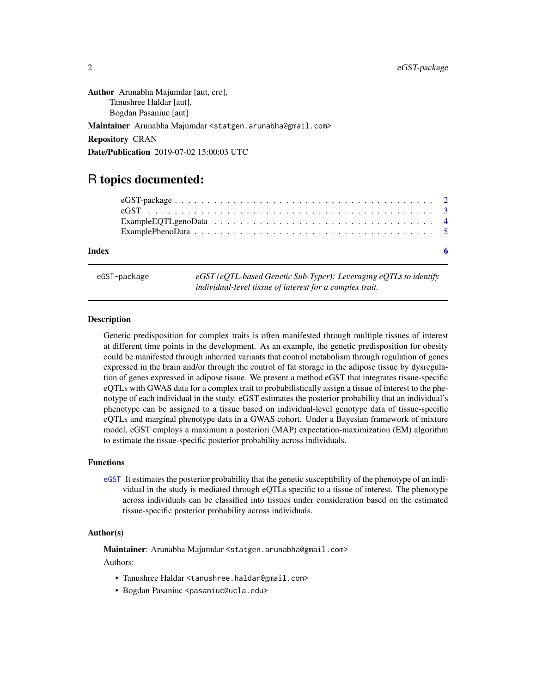<span id="page-1-0"></span>Author Arunabha Majumdar [aut, cre], Tanushree Haldar [aut], Bogdan Pasaniuc [aut] Maintainer Arunabha Majumdar <statgen.arunabha@gmail.com> Repository CRAN Date/Publication 2019-07-02 15:00:03 UTC

### R topics documented:

| Index |  |  |  |  |  |  |  |  |  |  |  |  |  |  |  | - 6 |  |
|-------|--|--|--|--|--|--|--|--|--|--|--|--|--|--|--|-----|--|

eGST-package *eGST (eQTL-based Genetic Sub-Typer): Leveraging eQTLs to identify individual-level tissue of interest for a complex trait.*

#### **Description**

Genetic predisposition for complex traits is often manifested through multiple tissues of interest at different time points in the development. As an example, the genetic predisposition for obesity could be manifested through inherited variants that control metabolism through regulation of genes expressed in the brain and/or through the control of fat storage in the adipose tissue by dysregulation of genes expressed in adipose tissue. We present a method eGST that integrates tissue-specific eQTLs with GWAS data for a complex trait to probabilistically assign a tissue of interest to the phenotype of each individual in the study. eGST estimates the posterior probability that an individual's phenotype can be assigned to a tissue based on individual-level genotype data of tissue-specific eQTLs and marginal phenotype data in a GWAS cohort. Under a Bayesian framework of mixture model, eGST employs a maximum a posteriori (MAP) expectation-maximization (EM) algorithm to estimate the tissue-specific posterior probability across individuals.

#### Functions

[eGST](#page-2-1) It estimates the posterior probability that the genetic susceptibility of the phenotype of an individual in the study is mediated through eQTLs specific to a tissue of interest. The phenotype across individuals can be classified into tissues under consideration based on the estimated tissue-specific posterior probability across individuals.

#### Author(s)

Maintainer: Arunabha Majumdar <statgen.arunabha@gmail.com>

Authors:

- Tanushree Haldar <tanushree.haldar@gmail.com>
- Bogdan Pasaniuc <pasaniuc@ucla.edu>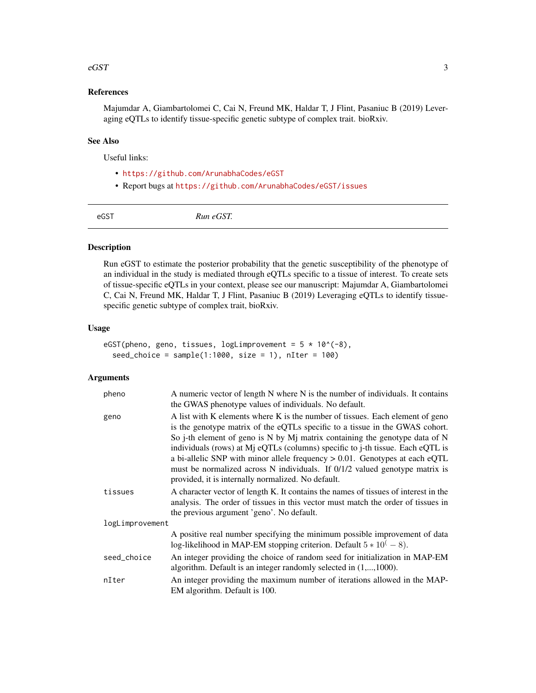#### <span id="page-2-0"></span> $\epsilon$ GST  $\frac{3}{3}$

#### References

Majumdar A, Giambartolomei C, Cai N, Freund MK, Haldar T, J Flint, Pasaniuc B (2019) Leveraging eQTLs to identify tissue-specific genetic subtype of complex trait. bioRxiv.

#### See Also

Useful links:

- <https://github.com/ArunabhaCodes/eGST>
- Report bugs at <https://github.com/ArunabhaCodes/eGST/issues>

<span id="page-2-1"></span>eGST *Run eGST.*

#### Description

Run eGST to estimate the posterior probability that the genetic susceptibility of the phenotype of an individual in the study is mediated through eQTLs specific to a tissue of interest. To create sets of tissue-specific eQTLs in your context, please see our manuscript: Majumdar A, Giambartolomei C, Cai N, Freund MK, Haldar T, J Flint, Pasaniuc B (2019) Leveraging eQTLs to identify tissuespecific genetic subtype of complex trait, bioRxiv.

#### Usage

```
eGST(pheno, geno, tissues, logLimprovement = 5 * 10^(-8),
  seed\_choice = sample(1:1000, size = 1), nIter = 100)
```
#### Arguments

| pheno           | A numeric vector of length N where N is the number of individuals. It contains<br>the GWAS phenotype values of individuals. No default.                                                                                                                                                                                                                                                                                                                                                                                                                 |
|-----------------|---------------------------------------------------------------------------------------------------------------------------------------------------------------------------------------------------------------------------------------------------------------------------------------------------------------------------------------------------------------------------------------------------------------------------------------------------------------------------------------------------------------------------------------------------------|
| geno            | A list with K elements where K is the number of tissues. Each element of geno<br>is the genotype matrix of the eQTLs specific to a tissue in the GWAS cohort.<br>So j-th element of geno is N by Mj matrix containing the genotype data of N<br>individuals (rows) at Mj eQTLs (columns) specific to j-th tissue. Each eQTL is<br>a bi-allelic SNP with minor allele frequency $> 0.01$ . Genotypes at each eQTL<br>must be normalized across N individuals. If $0/1/2$ valued genotype matrix is<br>provided, it is internally normalized. No default. |
| tissues         | A character vector of length K. It contains the names of tissues of interest in the<br>analysis. The order of tissues in this vector must match the order of tissues in<br>the previous argument 'geno'. No default.                                                                                                                                                                                                                                                                                                                                    |
| logLimprovement |                                                                                                                                                                                                                                                                                                                                                                                                                                                                                                                                                         |
|                 | A positive real number specifying the minimum possible improvement of data<br>log-likelihood in MAP-EM stopping criterion. Default $5 * 10^(-8)$ .                                                                                                                                                                                                                                                                                                                                                                                                      |
| seed_choice     | An integer providing the choice of random seed for initialization in MAP-EM<br>algorithm. Default is an integer randomly selected in $(1, \ldots, 1000)$ .                                                                                                                                                                                                                                                                                                                                                                                              |
| nIter           | An integer providing the maximum number of iterations allowed in the MAP-<br>EM algorithm. Default is 100.                                                                                                                                                                                                                                                                                                                                                                                                                                              |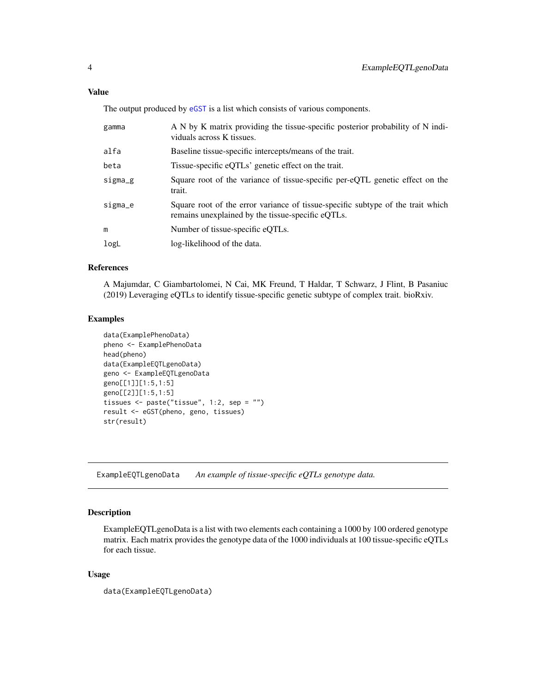<span id="page-3-0"></span>The output produced by  $eGST$  is a list which consists of various components.

| gamma   | A N by K matrix providing the tissue-specific posterior probability of N indi-<br>viduals across K tissues.                          |
|---------|--------------------------------------------------------------------------------------------------------------------------------------|
| alfa    | Baseline tissue-specific intercepts/means of the trait.                                                                              |
| beta    | Tissue-specific eQTLs' genetic effect on the trait.                                                                                  |
| sigma_g | Square root of the variance of tissue-specific per-eQTL genetic effect on the<br>trait.                                              |
| sigma_e | Square root of the error variance of tissue-specific subtype of the trait which<br>remains unexplained by the tissue-specific eQTLs. |
| m       | Number of tissue-specific eQTLs.                                                                                                     |
| logL    | log-likelihood of the data.                                                                                                          |

#### References

A Majumdar, C Giambartolomei, N Cai, MK Freund, T Haldar, T Schwarz, J Flint, B Pasaniuc (2019) Leveraging eQTLs to identify tissue-specific genetic subtype of complex trait. bioRxiv.

#### Examples

```
data(ExamplePhenoData)
pheno <- ExamplePhenoData
head(pheno)
data(ExampleEQTLgenoData)
geno <- ExampleEQTLgenoData
geno[[1]][1:5,1:5]
geno[[2]][1:5,1:5]
tissues <- paste("tissue", 1:2, sep = "")
result <- eGST(pheno, geno, tissues)
str(result)
```
ExampleEQTLgenoData *An example of tissue-specific eQTLs genotype data.*

#### Description

ExampleEQTLgenoData is a list with two elements each containing a 1000 by 100 ordered genotype matrix. Each matrix provides the genotype data of the 1000 individuals at 100 tissue-specific eQTLs for each tissue.

#### Usage

data(ExampleEQTLgenoData)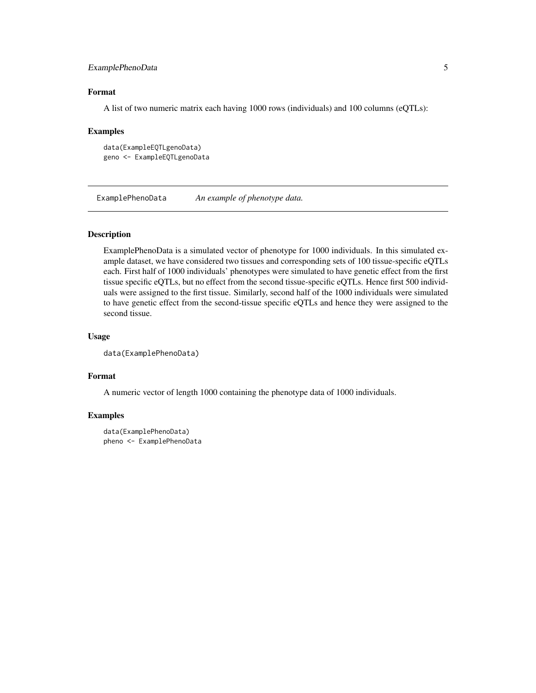#### <span id="page-4-0"></span>ExamplePhenoData 5

#### Format

A list of two numeric matrix each having 1000 rows (individuals) and 100 columns (eQTLs):

#### Examples

```
data(ExampleEQTLgenoData)
geno <- ExampleEQTLgenoData
```
ExamplePhenoData *An example of phenotype data.*

#### Description

ExamplePhenoData is a simulated vector of phenotype for 1000 individuals. In this simulated example dataset, we have considered two tissues and corresponding sets of 100 tissue-specific eQTLs each. First half of 1000 individuals' phenotypes were simulated to have genetic effect from the first tissue specific eQTLs, but no effect from the second tissue-specific eQTLs. Hence first 500 individuals were assigned to the first tissue. Similarly, second half of the 1000 individuals were simulated to have genetic effect from the second-tissue specific eQTLs and hence they were assigned to the second tissue.

#### Usage

```
data(ExamplePhenoData)
```
#### Format

A numeric vector of length 1000 containing the phenotype data of 1000 individuals.

#### Examples

```
data(ExamplePhenoData)
pheno <- ExamplePhenoData
```